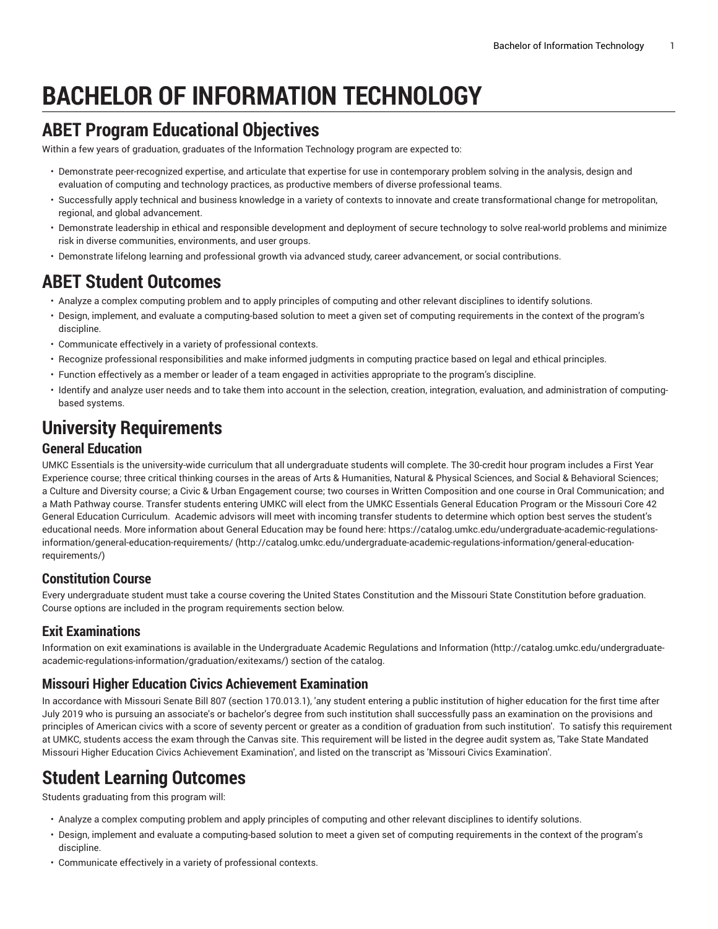# **BACHELOR OF INFORMATION TECHNOLOGY**

# **ABET Program Educational Objectives**

Within a few years of graduation, graduates of the Information Technology program are expected to:

- Demonstrate peer-recognized expertise, and articulate that expertise for use in contemporary problem solving in the analysis, design and evaluation of computing and technology practices, as productive members of diverse professional teams.
- Successfully apply technical and business knowledge in a variety of contexts to innovate and create transformational change for metropolitan, regional, and global advancement.
- Demonstrate leadership in ethical and responsible development and deployment of secure technology to solve real-world problems and minimize risk in diverse communities, environments, and user groups.
- Demonstrate lifelong learning and professional growth via advanced study, career advancement, or social contributions.

### **ABET Student Outcomes**

- Analyze a complex computing problem and to apply principles of computing and other relevant disciplines to identify solutions.
- Design, implement, and evaluate a computing-based solution to meet a given set of computing requirements in the context of the program's discipline.
- Communicate effectively in a variety of professional contexts.
- Recognize professional responsibilities and make informed judgments in computing practice based on legal and ethical principles.
- Function effectively as a member or leader of a team engaged in activities appropriate to the program's discipline.
- Identify and analyze user needs and to take them into account in the selection, creation, integration, evaluation, and administration of computingbased systems.

# **University Requirements**

#### **General Education**

UMKC Essentials is the university-wide curriculum that all undergraduate students will complete. The 30-credit hour program includes a First Year Experience course; three critical thinking courses in the areas of Arts & Humanities, Natural & Physical Sciences, and Social & Behavioral Sciences; a Culture and Diversity course; a Civic & Urban Engagement course; two courses in Written Composition and one course in Oral Communication; and a Math Pathway course. Transfer students entering UMKC will elect from the UMKC Essentials General Education Program or the Missouri Core 42 General Education Curriculum. Academic advisors will meet with incoming transfer students to determine which option best serves the student's educational needs. More information about General Education may be found here: [https://catalog.umkc.edu/undergraduate-academic-regulations](http://catalog.umkc.edu/undergraduate-academic-regulations-information/general-education-requirements/)[information/general-education-requirements/](http://catalog.umkc.edu/undergraduate-academic-regulations-information/general-education-requirements/) ([http://catalog.umkc.edu/undergraduate-academic-regulations-information/general-education](http://catalog.umkc.edu/undergraduate-academic-regulations-information/general-education-requirements/)[requirements/\)](http://catalog.umkc.edu/undergraduate-academic-regulations-information/general-education-requirements/)

### **Constitution Course**

Every undergraduate student must take a course covering the United States Constitution and the Missouri State Constitution before graduation. Course options are included in the program requirements section below.

### **Exit Examinations**

Information on exit examinations is available in the [Undergraduate](http://catalog.umkc.edu/undergraduate-academic-regulations-information/graduation/exitexams/) Academic Regulations and Information [\(http://catalog.umkc.edu/undergraduate](http://catalog.umkc.edu/undergraduate-academic-regulations-information/graduation/exitexams/)[academic-regulations-information/graduation/exitexams/](http://catalog.umkc.edu/undergraduate-academic-regulations-information/graduation/exitexams/)) section of the catalog.

#### **Missouri Higher Education Civics Achievement Examination**

In accordance with Missouri Senate Bill 807 (section 170.013.1), 'any student entering a public institution of higher education for the first time after July 2019 who is pursuing an associate's or bachelor's degree from such institution shall successfully pass an examination on the provisions and principles of American civics with a score of seventy percent or greater as a condition of graduation from such institution'. To satisfy this requirement at UMKC, students access the exam through the Canvas site. This requirement will be listed in the degree audit system as, 'Take State Mandated Missouri Higher Education Civics Achievement Examination', and listed on the transcript as 'Missouri Civics Examination'.

### **Student Learning Outcomes**

Students graduating from this program will:

- Analyze a complex computing problem and apply principles of computing and other relevant disciplines to identify solutions.
- Design, implement and evaluate a computing-based solution to meet a given set of computing requirements in the context of the program's discipline.
- Communicate effectively in a variety of professional contexts.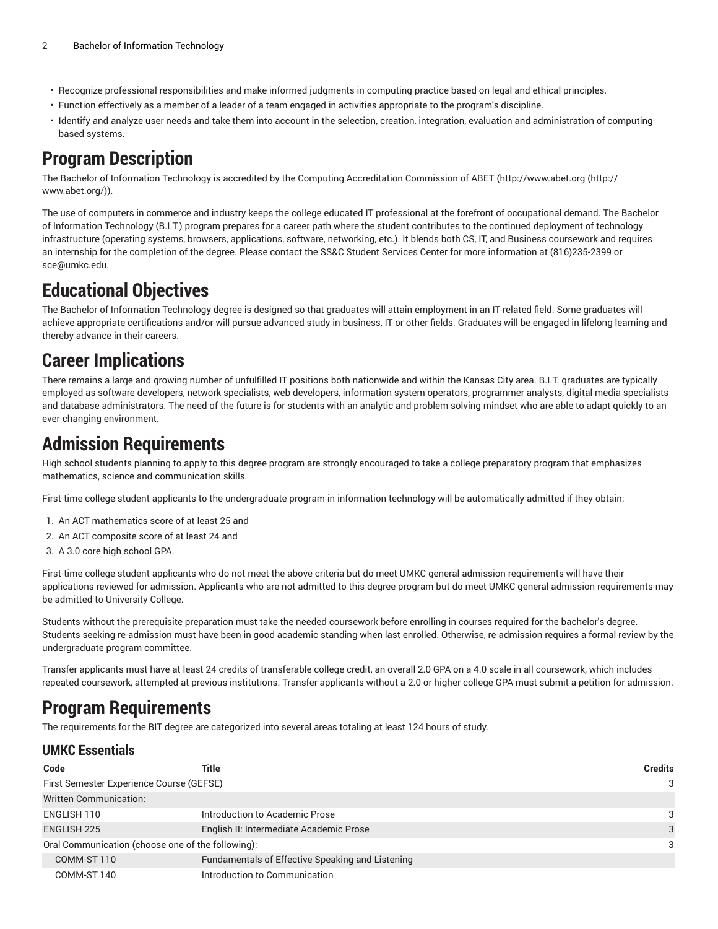- Recognize professional responsibilities and make informed judgments in computing practice based on legal and ethical principles.
- Function effectively as a member of a leader of a team engaged in activities appropriate to the program's discipline.
- Identify and analyze user needs and take them into account in the selection, creation, integration, evaluation and administration of computingbased systems.

# **Program Description**

The Bachelor of Information Technology is accredited by the Computing Accreditation Commission of ABET [\(http://www.abet.org](http://www.abet.org/) ([http://](http://www.abet.org/) [www.abet.org/\)](http://www.abet.org/)).

The use of computers in commerce and industry keeps the college educated IT professional at the forefront of occupational demand. The Bachelor of Information Technology (B.I.T.) program prepares for a career path where the student contributes to the continued deployment of technology infrastructure (operating systems, browsers, applications, software, networking, etc.). It blends both CS, IT, and Business coursework and requires an internship for the completion of the degree. Please contact the SS&C Student Services Center for more information at (816)235-2399 or [sce@umkc.edu](mailto:sce@umkc.edu).

# **Educational Objectives**

The Bachelor of Information Technology degree is designed so that graduates will attain employment in an IT related field. Some graduates will achieve appropriate certifications and/or will pursue advanced study in business, IT or other fields. Graduates will be engaged in lifelong learning and thereby advance in their careers.

### **Career Implications**

There remains a large and growing number of unfulfilled IT positions both nationwide and within the Kansas City area. B.I.T. graduates are typically employed as software developers, network specialists, web developers, information system operators, programmer analysts, digital media specialists and database administrators. The need of the future is for students with an analytic and problem solving mindset who are able to adapt quickly to an ever-changing environment.

### **Admission Requirements**

High school students planning to apply to this degree program are strongly encouraged to take a college preparatory program that emphasizes mathematics, science and communication skills.

First-time college student applicants to the undergraduate program in information technology will be automatically admitted if they obtain:

- 1. An ACT mathematics score of at least 25 and
- 2. An ACT composite score of at least 24 and
- 3. A 3.0 core high school GPA.

First-time college student applicants who do not meet the above criteria but do meet UMKC general admission requirements will have their applications reviewed for admission. Applicants who are not admitted to this degree program but do meet UMKC general admission requirements may be admitted to University College.

Students without the prerequisite preparation must take the needed coursework before enrolling in courses required for the bachelor's degree. Students seeking re-admission must have been in good academic standing when last enrolled. Otherwise, re-admission requires a formal review by the undergraduate program committee.

Transfer applicants must have at least 24 credits of transferable college credit, an overall 2.0 GPA on a 4.0 scale in all coursework, which includes repeated coursework, attempted at previous institutions. Transfer applicants without a 2.0 or higher college GPA must submit a petition for admission.

# **Program Requirements**

The requirements for the BIT degree are categorized into several areas totaling at least 124 hours of study.

### **UMKC Essentials**

| Code                                              | Title                                            | <b>Credits</b> |  |
|---------------------------------------------------|--------------------------------------------------|----------------|--|
| First Semester Experience Course (GEFSE)          |                                                  |                |  |
| <b>Written Communication:</b>                     |                                                  |                |  |
| ENGLISH 110                                       | Introduction to Academic Prose                   | 3              |  |
| <b>ENGLISH 225</b>                                | English II: Intermediate Academic Prose          | 3              |  |
| Oral Communication (choose one of the following): |                                                  |                |  |
| COMM-ST 110                                       | Fundamentals of Effective Speaking and Listening |                |  |
| COMM-ST 140                                       | Introduction to Communication                    |                |  |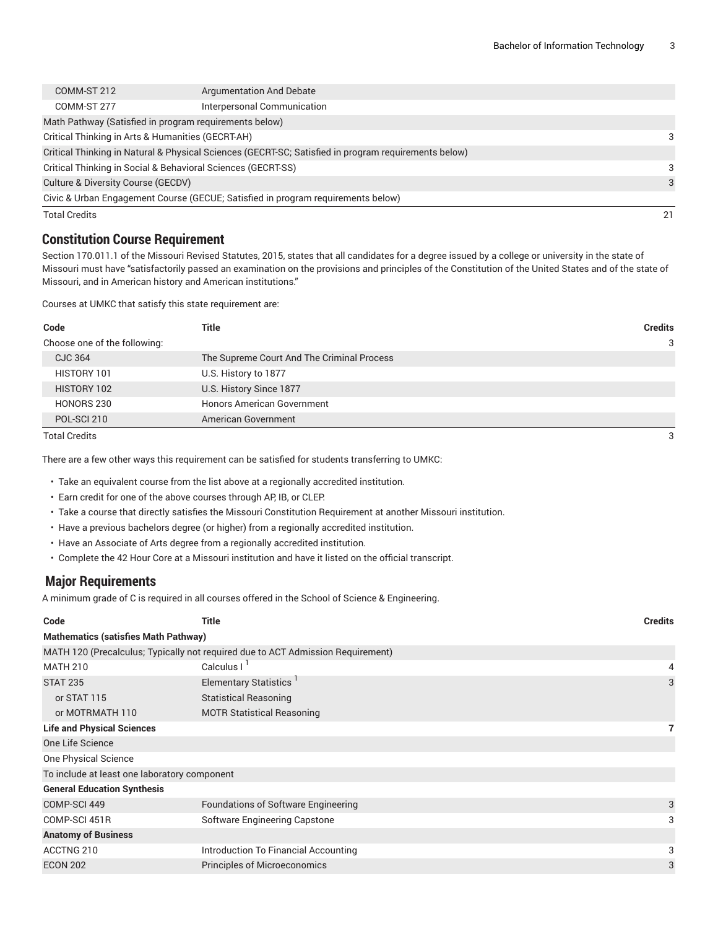| <b>Total Credits</b>                                   |                                                                                                      |  | 21 |
|--------------------------------------------------------|------------------------------------------------------------------------------------------------------|--|----|
|                                                        | Civic & Urban Engagement Course (GECUE; Satisfied in program requirements below)                     |  |    |
| Culture & Diversity Course (GECDV)                     |                                                                                                      |  | 3  |
|                                                        | Critical Thinking in Social & Behavioral Sciences (GECRT-SS)                                         |  | 3  |
|                                                        | Critical Thinking in Natural & Physical Sciences (GECRT-SC; Satisfied in program requirements below) |  |    |
| Critical Thinking in Arts & Humanities (GECRT-AH)      |                                                                                                      |  | 3  |
| Math Pathway (Satisfied in program requirements below) |                                                                                                      |  |    |
| COMM-ST 277                                            | Interpersonal Communication                                                                          |  |    |
| COMM-ST 212                                            | Argumentation And Debate                                                                             |  |    |
|                                                        |                                                                                                      |  |    |

### **Constitution Course Requirement**

Section 170.011.1 of the Missouri Revised Statutes, 2015, states that all candidates for a degree issued by a college or university in the state of Missouri must have "satisfactorily passed an examination on the provisions and principles of the Constitution of the United States and of the state of Missouri, and in American history and American institutions."

Courses at UMKC that satisfy this state requirement are:

| Code                         | Title                                      | <b>Credits</b> |
|------------------------------|--------------------------------------------|----------------|
| Choose one of the following: |                                            | 3              |
| CJC 364                      | The Supreme Court And The Criminal Process |                |
| HISTORY 101                  | U.S. History to 1877                       |                |
| HISTORY 102                  | U.S. History Since 1877                    |                |
| HONORS 230                   | <b>Honors American Government</b>          |                |
| POL-SCI 210                  | American Government                        |                |
|                              |                                            |                |

Total Credits 3

There are a few other ways this requirement can be satisfied for students transferring to UMKC:

• Take an equivalent course from the list above at a regionally accredited institution.

- Earn credit for one of the above courses through AP, IB, or CLEP.
- Take a course that directly satisfies the Missouri Constitution Requirement at another Missouri institution.
- Have a previous bachelors degree (or higher) from a regionally accredited institution.
- Have an Associate of Arts degree from a regionally accredited institution.
- Complete the 42 Hour Core at a Missouri institution and have it listed on the official transcript.

#### **Major Requirements**

A minimum grade of C is required in all courses offered in the School of Science & Engineering.

| Code                                         | <b>Title</b><br><b>Credits</b>                                                  |   |  |  |
|----------------------------------------------|---------------------------------------------------------------------------------|---|--|--|
| <b>Mathematics (satisfies Math Pathway)</b>  |                                                                                 |   |  |  |
|                                              | MATH 120 (Precalculus; Typically not required due to ACT Admission Requirement) |   |  |  |
| <b>MATH 210</b>                              | Calculus I <sup>1</sup>                                                         |   |  |  |
| <b>STAT 235</b>                              | Elementary Statistics <sup>1</sup>                                              | 3 |  |  |
| or STAT 115                                  | <b>Statistical Reasoning</b>                                                    |   |  |  |
| or MOTRMATH 110                              | <b>MOTR Statistical Reasoning</b>                                               |   |  |  |
| <b>Life and Physical Sciences</b>            |                                                                                 |   |  |  |
| One Life Science                             |                                                                                 |   |  |  |
| One Physical Science                         |                                                                                 |   |  |  |
| To include at least one laboratory component |                                                                                 |   |  |  |
| <b>General Education Synthesis</b>           |                                                                                 |   |  |  |
| COMP-SCI 449                                 | Foundations of Software Engineering                                             | 3 |  |  |
| COMP-SCI 451R                                | Software Engineering Capstone                                                   | 3 |  |  |
| <b>Anatomy of Business</b>                   |                                                                                 |   |  |  |
| ACCTNG 210                                   | Introduction To Financial Accounting                                            | 3 |  |  |
| <b>ECON 202</b>                              | <b>Principles of Microeconomics</b>                                             | 3 |  |  |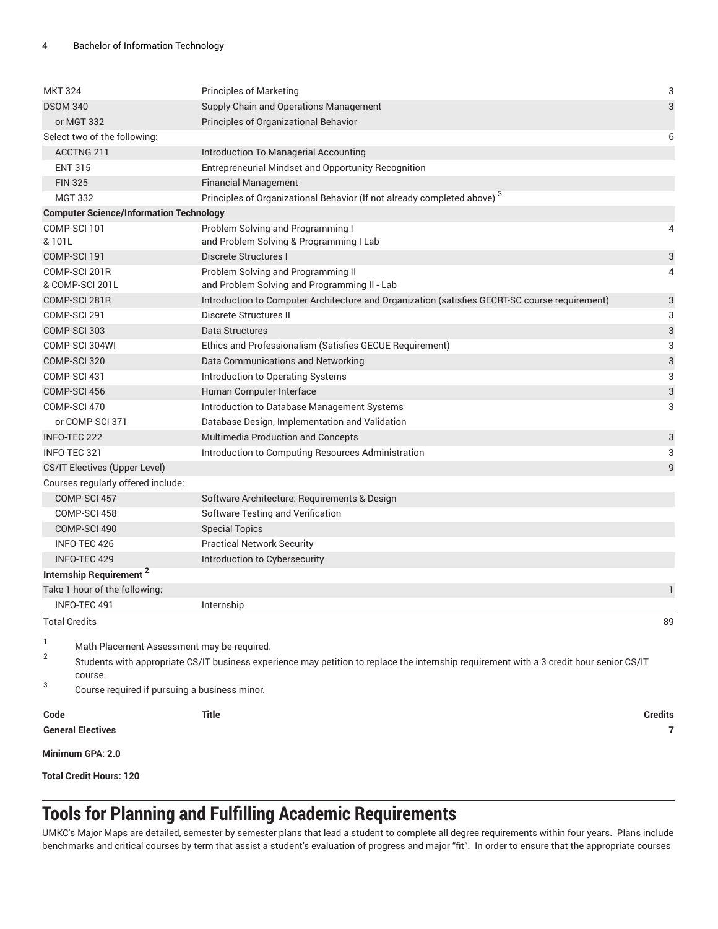| <b>MKT 324</b>                                            |                                                | <b>Principles of Marketing</b>                                                                                                           | 3                         |
|-----------------------------------------------------------|------------------------------------------------|------------------------------------------------------------------------------------------------------------------------------------------|---------------------------|
| <b>DSOM 340</b><br>Supply Chain and Operations Management |                                                |                                                                                                                                          | 3                         |
| or MGT 332                                                |                                                | Principles of Organizational Behavior                                                                                                    |                           |
|                                                           | Select two of the following:                   |                                                                                                                                          | 6                         |
|                                                           | ACCTNG 211                                     | Introduction To Managerial Accounting                                                                                                    |                           |
|                                                           | <b>ENT 315</b>                                 | Entrepreneurial Mindset and Opportunity Recognition                                                                                      |                           |
| <b>FIN 325</b>                                            |                                                | <b>Financial Management</b>                                                                                                              |                           |
|                                                           | <b>MGT 332</b>                                 | Principles of Organizational Behavior (If not already completed above) <sup>3</sup>                                                      |                           |
|                                                           | <b>Computer Science/Information Technology</b> |                                                                                                                                          |                           |
|                                                           | COMP-SCI 101                                   | Problem Solving and Programming I                                                                                                        | 4                         |
| & 101L                                                    |                                                | and Problem Solving & Programming I Lab                                                                                                  |                           |
|                                                           | COMP-SCI 191                                   | Discrete Structures I                                                                                                                    | 3                         |
|                                                           | COMP-SCI 201R                                  | Problem Solving and Programming II                                                                                                       | 4                         |
|                                                           | & COMP-SCI 201L                                | and Problem Solving and Programming II - Lab                                                                                             |                           |
|                                                           | COMP-SCI 281R                                  | Introduction to Computer Architecture and Organization (satisfies GECRT-SC course requirement)                                           | 3                         |
|                                                           | COMP-SCI 291                                   | Discrete Structures II                                                                                                                   | 3                         |
|                                                           | COMP-SCI 303                                   | Data Structures                                                                                                                          | $\ensuremath{\mathsf{3}}$ |
|                                                           | COMP-SCI 304WI                                 | Ethics and Professionalism (Satisfies GECUE Requirement)                                                                                 | 3                         |
|                                                           | COMP-SCI 320                                   | Data Communications and Networking                                                                                                       | 3                         |
|                                                           | COMP-SCI 431                                   | Introduction to Operating Systems                                                                                                        | 3                         |
|                                                           | COMP-SCI 456                                   | Human Computer Interface                                                                                                                 | 3                         |
|                                                           | COMP-SCI 470                                   | Introduction to Database Management Systems                                                                                              | 3                         |
|                                                           | or COMP-SCI 371                                | Database Design, Implementation and Validation                                                                                           |                           |
| INFO-TEC 222                                              |                                                | <b>Multimedia Production and Concepts</b>                                                                                                | 3                         |
| INFO-TEC 321                                              |                                                | Introduction to Computing Resources Administration                                                                                       | 3                         |
|                                                           | CS/IT Electives (Upper Level)                  |                                                                                                                                          | $\overline{9}$            |
|                                                           | Courses regularly offered include:             |                                                                                                                                          |                           |
|                                                           | COMP-SCI 457                                   | Software Architecture: Requirements & Design                                                                                             |                           |
|                                                           | COMP-SCI 458                                   | Software Testing and Verification                                                                                                        |                           |
|                                                           | COMP-SCI 490                                   | <b>Special Topics</b>                                                                                                                    |                           |
|                                                           | INFO-TEC 426                                   | <b>Practical Network Security</b>                                                                                                        |                           |
|                                                           | <b>INFO-TEC 429</b>                            | Introduction to Cybersecurity                                                                                                            |                           |
|                                                           | Internship Requirement <sup>2</sup>            |                                                                                                                                          |                           |
|                                                           | Take 1 hour of the following:                  |                                                                                                                                          | $\mathbf{1}$              |
|                                                           | INFO-TEC 491                                   | Internship                                                                                                                               |                           |
| <b>Total Credits</b>                                      |                                                |                                                                                                                                          | 89                        |
| 1                                                         |                                                |                                                                                                                                          |                           |
| $\sqrt{2}$                                                | Math Placement Assessment may be required.     | Students with appropriate CS/IT business experience may petition to replace the internship requirement with a 3 credit hour senior CS/IT |                           |
|                                                           | course.                                        |                                                                                                                                          |                           |
| 3                                                         | Course required if pursuing a business minor.  |                                                                                                                                          |                           |
| Code                                                      |                                                | <b>Title</b>                                                                                                                             | <b>Credits</b>            |
|                                                           | <b>General Electives</b>                       |                                                                                                                                          | 7                         |
|                                                           | Minimum GPA: 2.0                               |                                                                                                                                          |                           |

**Total Credit Hours: 120**

# **Tools for Planning and Fulfilling Academic Requirements**

UMKC's Major Maps are detailed, semester by semester plans that lead a student to complete all degree requirements within four years. Plans include benchmarks and critical courses by term that assist a student's evaluation of progress and major "fit". In order to ensure that the appropriate courses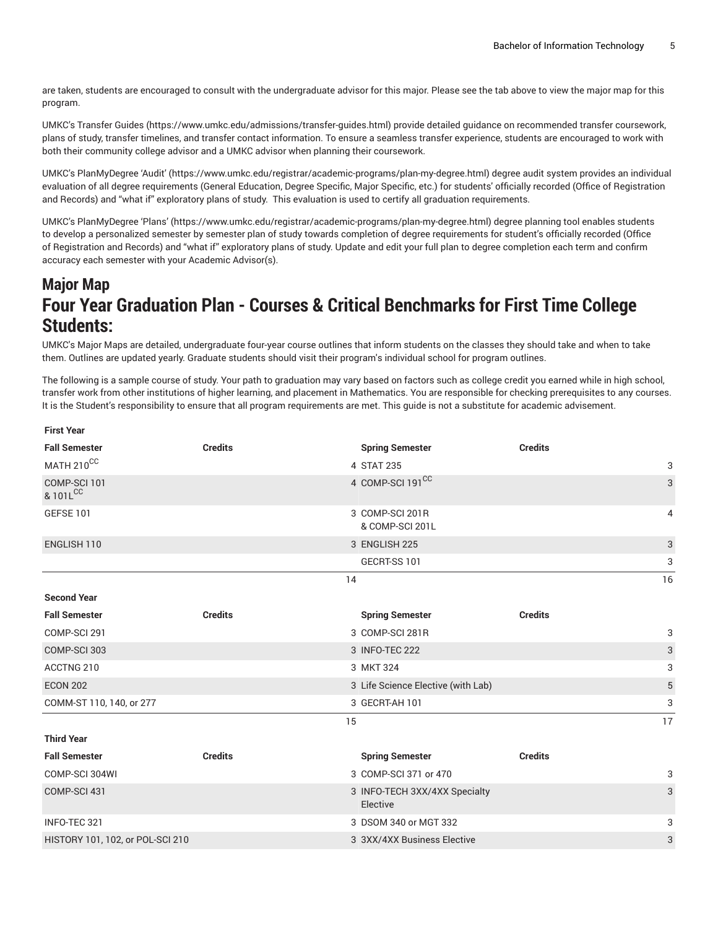are taken, students are encouraged to consult with the undergraduate advisor for this major. Please see the tab above to view the major map for this program.

UMKC's [Transfer](https://www.umkc.edu/admissions/transfer-guides.html) Guides [\(https://www.umkc.edu/admissions/transfer-guides.html](https://www.umkc.edu/admissions/transfer-guides.html)) provide detailed guidance on recommended transfer coursework, plans of study, transfer timelines, and transfer contact information. To ensure a seamless transfer experience, students are encouraged to work with both their community college advisor and a UMKC advisor when planning their coursework.

UMKC's [PlanMyDegree](https://www.umkc.edu/registrar/academic-programs/plan-my-degree.html) 'Audit' ([https://www.umkc.edu/registrar/academic-programs/plan-my-degree.html\)](https://www.umkc.edu/registrar/academic-programs/plan-my-degree.html) degree audit system provides an individual evaluation of all degree requirements (General Education, Degree Specific, Major Specific, etc.) for students' officially recorded (Office of Registration and Records) and "what if" exploratory plans of study. This evaluation is used to certify all graduation requirements.

UMKC's [PlanMyDegree](https://www.umkc.edu/registrar/academic-programs/plan-my-degree.html) 'Plans' [\(https://www.umkc.edu/registrar/academic-programs/plan-my-degree.html\)](https://www.umkc.edu/registrar/academic-programs/plan-my-degree.html) degree planning tool enables students to develop a personalized semester by semester plan of study towards completion of degree requirements for student's officially recorded (Office of Registration and Records) and "what if" exploratory plans of study. Update and edit your full plan to degree completion each term and confirm accuracy each semester with your Academic Advisor(s).

### **Major Map Four Year Graduation Plan - Courses & Critical Benchmarks for First Time College Students:**

UMKC's Major Maps are detailed, undergraduate four-year course outlines that inform students on the classes they should take and when to take them. Outlines are updated yearly. Graduate students should visit their program's individual school for program outlines.

The following is a sample course of study. Your path to graduation may vary based on factors such as college credit you earned while in high school, transfer work from other institutions of higher learning, and placement in Mathematics. You are responsible for checking prerequisites to any courses. It is the Student's responsibility to ensure that all program requirements are met. This guide is not a substitute for academic advisement.

| <b>First Year</b>                |                |                                           |                |    |
|----------------------------------|----------------|-------------------------------------------|----------------|----|
| <b>Fall Semester</b>             | <b>Credits</b> | <b>Spring Semester</b>                    | <b>Credits</b> |    |
| MATH 210CC                       |                | 4 STAT 235                                |                | 3  |
| COMP-SCI 101<br>& 101LCC         |                | 4 COMP-SCI 191 <sup>CC</sup>              |                | 3  |
| GEFSE 101                        |                | 3 COMP-SCI 201R<br>& COMP-SCI 201L        |                | 4  |
| ENGLISH 110                      |                | 3 ENGLISH 225                             |                | 3  |
|                                  |                | GECRT-SS 101                              |                | 3  |
|                                  |                | 14                                        |                | 16 |
| <b>Second Year</b>               |                |                                           |                |    |
| <b>Fall Semester</b>             | <b>Credits</b> | <b>Spring Semester</b>                    | <b>Credits</b> |    |
| COMP-SCI 291                     |                | 3 COMP-SCI 281R                           |                | 3  |
| COMP-SCI 303                     |                | 3 INFO-TEC 222                            |                | 3  |
| ACCTNG 210                       |                | 3 MKT 324                                 |                | 3  |
| <b>ECON 202</b>                  |                | 3 Life Science Elective (with Lab)        |                | 5  |
| COMM-ST 110, 140, or 277         |                | 3 GECRT-AH 101                            |                | 3  |
|                                  |                | 15                                        |                | 17 |
| <b>Third Year</b>                |                |                                           |                |    |
| <b>Fall Semester</b>             | <b>Credits</b> | <b>Spring Semester</b>                    | <b>Credits</b> |    |
| COMP-SCI 304WI                   |                | 3 COMP-SCI 371 or 470                     |                | 3  |
| COMP-SCI 431                     |                | 3 INFO-TECH 3XX/4XX Specialty<br>Elective |                | 3  |
| INFO-TEC 321                     |                | 3 DSOM 340 or MGT 332                     |                | 3  |
| HISTORY 101, 102, or POL-SCI 210 |                | 3 3XX/4XX Business Elective               |                | 3  |